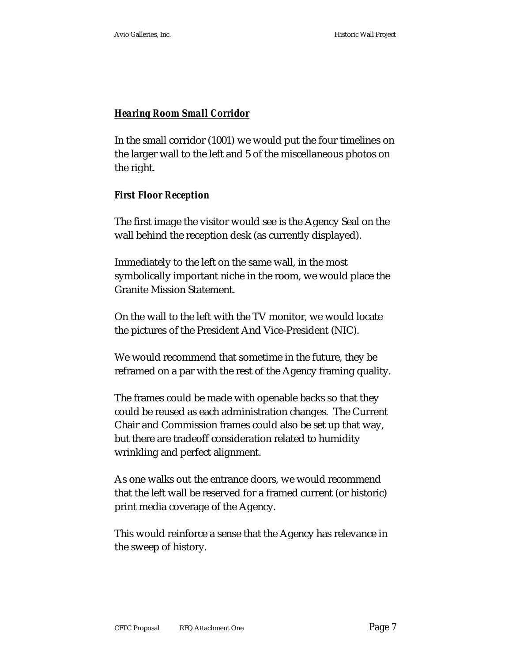# *Hearing Room Small Corridor*

In the small corridor (1001) we would put the four timelines on the larger wall to the left and 5 of the miscellaneous photos on the right.

## *First Floor Reception*

The first image the visitor would see is the Agency Seal on the wall behind the reception desk (as currently displayed).

Immediately to the left on the same wall, in the most symbolically important niche in the room, we would place the Granite Mission Statement.

On the wall to the left with the TV monitor, we would locate the pictures of the President And Vice-President (NIC).

We would recommend that sometime in the future, they be reframed on a par with the rest of the Agency framing quality.

The frames could be made with openable backs so that they could be reused as each administration changes. The Current Chair and Commission frames could also be set up that way, but there are tradeoff consideration related to humidity wrinkling and perfect alignment.

As one walks out the entrance doors, we would recommend that the left wall be reserved for a framed current (or historic) print media coverage of the Agency.

This would reinforce a sense that the Agency has relevance in the sweep of history.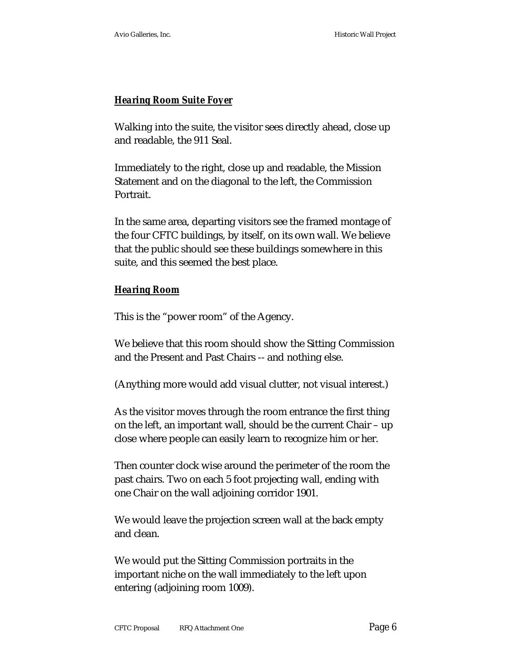# *Hearing Room Suite Foyer*

Walking into the suite, the visitor sees directly ahead, close up and readable, the 911 Seal.

Immediately to the right, close up and readable, the Mission Statement and on the diagonal to the left, the Commission Portrait.

In the same area, departing visitors see the framed montage of the four CFTC buildings, by itself, on its own wall. We believe that the public should see these buildings somewhere in this suite, and this seemed the best place.

## *Hearing Room*

This is the "power room" of the Agency.

We believe that this room should show the Sitting Commission and the Present and Past Chairs -- and nothing else.

(Anything more would add visual clutter, not visual interest.)

As the visitor moves through the room entrance the first thing on the left, an important wall, should be the current Chair – up close where people can easily learn to recognize him or her.

Then counter clock wise around the perimeter of the room the past chairs. Two on each 5 foot projecting wall, ending with one Chair on the wall adjoining corridor 1901.

We would leave the projection screen wall at the back empty and clean.

We would put the Sitting Commission portraits in the important niche on the wall immediately to the left upon entering (adjoining room 1009).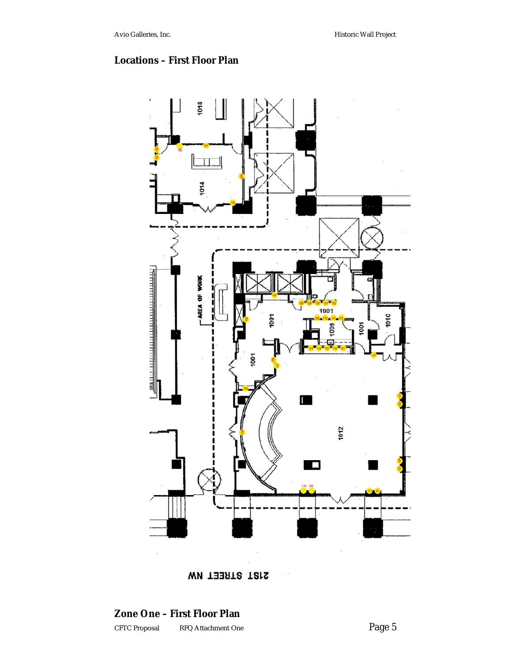# **Locations – First Floor Plan**



**21ST STREET NW** 

# CFTC Proposal RFQ Attachment One Page 5 **Zone One – First Floor Plan**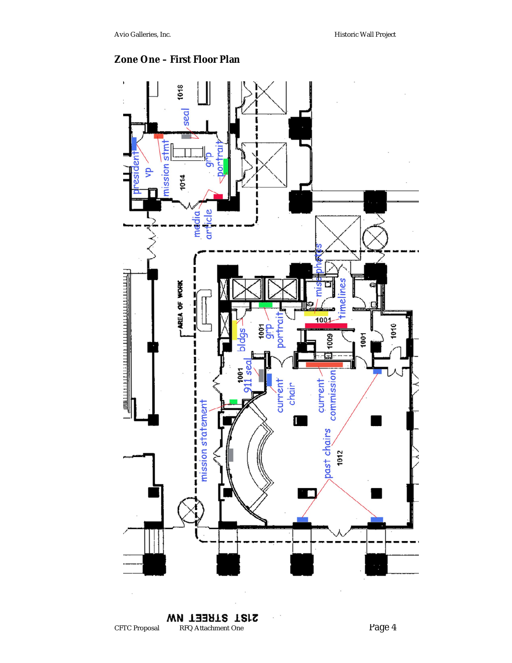# **Zone One – First Floor Plan**



2121 STREET NW CFTC Proposal RFQ Attachment One Page 4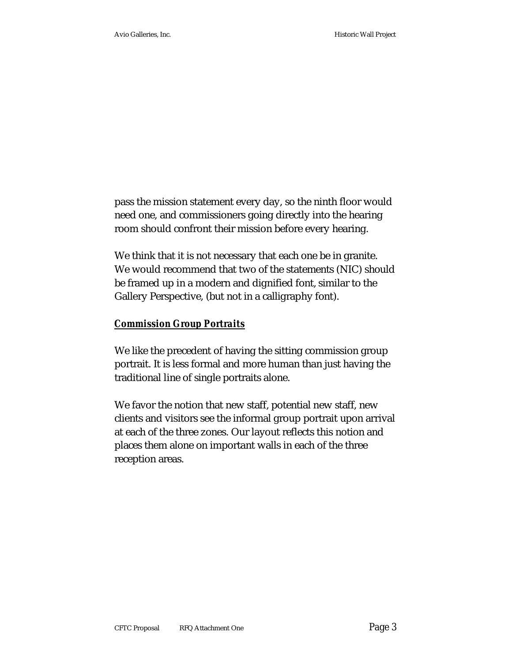pass the mission statement every day, so the ninth floor would need one, and commissioners going directly into the hearing room should confront their mission before every hearing.

We think that it is not necessary that each one be in granite. We would recommend that two of the statements (NIC) should be framed up in a modern and dignified font, similar to the Gallery Perspective, (but not in a calligraphy font).

#### *Commission Group Portraits*

We like the precedent of having the sitting commission group portrait. It is less formal and more human than just having the traditional line of single portraits alone.

We favor the notion that new staff, potential new staff, new clients and visitors see the informal group portrait upon arrival at each of the three zones. Our layout reflects this notion and places them alone on important walls in each of the three reception areas.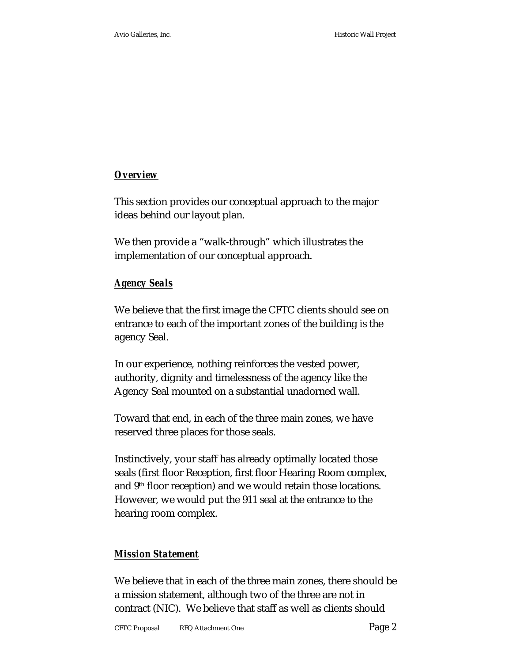# *Overview*

This section provides our conceptual approach to the major ideas behind our layout plan.

We then provide a "walk-through" which illustrates the implementation of our conceptual approach.

## *Agency Seals*

We believe that the first image the CFTC clients should see on entrance to each of the important zones of the building is the agency Seal.

In our experience, nothing reinforces the vested power, authority, dignity and timelessness of the agency like the Agency Seal mounted on a substantial unadorned wall.

Toward that end, in each of the three main zones, we have reserved three places for those seals.

Instinctively, your staff has already optimally located those seals (first floor Reception, first floor Hearing Room complex, and 9<sup>th</sup> floor reception) and we would retain those locations. However, we would put the 911 seal at the entrance to the hearing room complex.

## *Mission Statement*

We believe that in each of the three main zones, there should be a mission statement, although two of the three are not in contract (NIC). We believe that staff as well as clients should